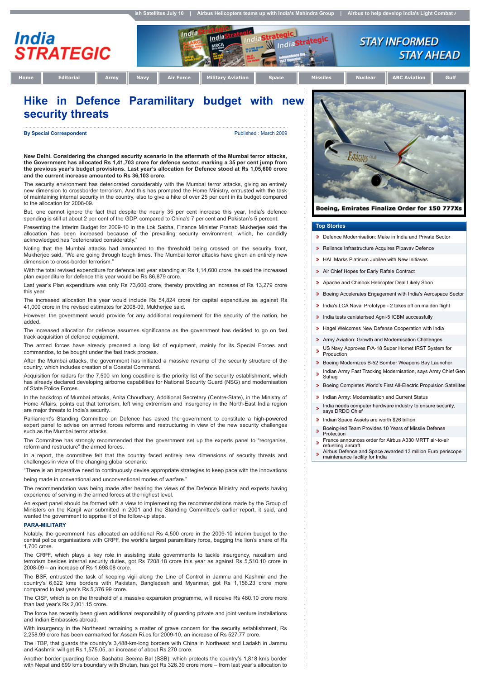tegic<br>IndiaStrategic

egic.



India

**Home Editorial Army Navy Air Force Military Aviation Space Missiles Nuclear ABC Aviation Gulf**

**STAY AHEAD** 

**STAY INFORMED** 

## **Hike in Defence Paramilitary budget with new security threats**

India

**By Special Correspondent By Special Correspondent Published : March 2009** 

**New Delhi. Considering the changed security scenario in the aftermath of the Mumbai terror attacks, the Government has allocated Rs 1,41,703 crore for defence sector, marking a 35 per cent jump from the previous year's budget provisions. Last year's allocation for Defence stood at Rs 1,05,600 crore and the current increase amounted to Rs 36,103 crore.**

The security environment has deteriorated considerably with the Mumbai terror attacks, giving an entirely new dimension to crossborder terrorism. And this has prompted the Home Ministry, entrusted with the task of maintaining internal security in the country, also to give a hike of over 25 per cent in its budget compared to the allocation for 2008-09.

But, one cannot ignore the fact that despite the nearly 35 per cent increase this year, India's defence spending is still at about 2 per cent of the GDP, compared to China's 7 per cent and Pakistan's 5 percent.

Presenting the Interim Budget for 2009-10 in the Lok Sabha, Finance Minister Pranab Mukherjee said the allocation has been increased because of the prevailing security environment, which, he candidly acknowledged has "deteriorated considerably.

Noting that the Mumbai attacks had amounted to the threshold being crossed on the security front, Mukherjee said, "We are going through tough times. The Mumbai terror attacks have given an entirely new dimension to cross-border terrorism.

With the total revised expenditure for defence last year standing at Rs 1,14,600 crore, he said the increased plan expenditure for defence this year would be Rs 86,879 crore.

Last year's Plan expenditure was only Rs 73,600 crore, thereby providing an increase of Rs 13,279 crore this year.

The increased allocation this year would include Rs 54,824 crore for capital expenditure as against Rs 41,000 crore in the revised estimates for 2008-09, Mukherjee said.

However, the government would provide for any additional requirement for the security of the nation, he added.

The increased allocation for defence assumes significance as the government has decided to go on fast track acquisition of defence equipment.

The armed forces have already prepared a long list of equipment, mainly for its Special Forces and commandos, to be bought under the fast track process.

After the Mumbai attacks, the government has initiated a massive revamp of the security structure of the country, which includes creation of a Coastal Command.

Acquisition for radars for the 7,500 km long coastline is the priority list of the security establishment, which has already declared developing airborne capabilities for National Security Guard (NSG) and modernisation of State Police Forces.

In the backdrop of Mumbai attacks, Anita Choudhary, Additional Secretary (Centre-State), in the Ministry of Home Affairs, points out that terrorism, left wing extremism and insurgency in the North-East India region are major threats to India's security.

Parliament's Standing Committee on Defence has asked the government to constitute a high-powered expert panel to advise on armed forces reforms and restructuring in view of the new security challenges such as the Mumbai terror attacks.

The Committee has strongly recommended that the government set up the experts panel to "reorganise, reform and restructure" the armed forces.

In a report, the committee felt that the country faced entirely new dimensions of security threats and challenges in view of the changing global scenario.

"There is an imperative need to continuously devise appropriate strategies to keep pace with the innovations being made in conventional and unconventional modes of warfare."

The recommendation was being made after hearing the views of the Defence Ministry and experts having experience of serving in the armed forces at the highest level.

An expert panel should be formed with a view to implementing the recommendations made by the Group of Ministers on the Kargil war submitted in 2001 and the Standing Committee's earlier report, it said, and wanted the government to apprise it of the follow-up steps.

## **PARA-MILITARY**

Notably, the government has allocated an additional Rs 4,500 crore in the 2009-10 interim budget to the central police organisations with CRPF, the world's largest paramilitary force, bagging the lion's share of Rs 1,700 crore.

The CRPF, which plays a key role in assisting state governments to tackle insurgency, naxalism and terrorism besides internal security duties, got Rs 7208.18 crore this year as against Rs 5,510.10 crore in 2008-09 – an increase of Rs 1,698.08 crore.

The BSF, entrusted the task of keeping vigil along the Line of Control in Jammu and Kashmir and the country's 6,622 kms borders with Pakistan, Bangladesh and Myanmar, got Rs 1,156.23 crore more compared to last year's Rs 5,376.99 crore.

The CISF, which is on the threshold of a massive expansion programme, will receive Rs 480.10 crore more than last year's Rs 2,001.15 crore.

The force has recently been given additional responsibility of guarding private and joint venture installations and Indian Embassies abroad.

With insurgency in the Northeast remaining a matter of grave concern for the security establishment, Rs 2,258.99 crore has been earmarked for Assam Ri.es for 2009-10, an increase of Rs 527.77 crore.

The ITBP, that guards the country's 3,488-km-long borders with China in Northeast and Ladakh in Jammu and Kashmir, will get Rs 1,575.05, an increase of about Rs 270 crore.

Another border guarding force, Sashatra Seema Bal (SSB), which protects the country's 1,818 kms border with Nepal and 699 kms boundary with Bhutan, has got Rs 326.39 crore more – from last year's allocation to



Boeing, Emirates Finalize Order for 150 777Xs

## **Top Stories**

- **Defence Modernisation: Make in India and Private Sector**
- Reliance Infrastructure Acquires Pipavav Defence
- **HAL Marks Platinum Jubilee with New Initiaves**
- Air Chief Hopes for Early Rafale Contract
- **Apache and Chinook Helicopter Deal Likely Soon**
- Boeing Accelerates Engagement with India's Aerospace Sector
- **India's LCA Naval Prototype 2 takes off on maiden flight**
- India tests canisterised Agni-5 ICBM successfully
- **Hagel Welcomes New Defense Cooperation with India**
- **Army Aviation: Growth and Modernisation Challenges**
- US Navy Approves F/A-18 Super Hornet IRST System for  $\mathbf{S}$ Production
- Boeing Modernizes B-52 Bomber Weapons Bay Launcher 6
- Indian Army Fast Tracking Modernisation, says Army Chief Gen  $\mathbf{s}$ Suhag
- **Boeing Completes World's First All-Electric Propulsion Satellites**
- 150 Indian Army: Modernisation and Current Status
- India needs computer hardware industry to ensure security, says DRDO Chief ×.
- **Indian Space Assets are worth \$26 billion**
- Boeing-led Team Provides 10 Years of Missile Defense  $\overline{\mathbf{S}}$
- **Protection** France announces order for Airbus A330 MRTT air-to-air
- refuelling aircraft
- Airbus Defence and Space awarded 13 million Euro periscope maintenance facility for India